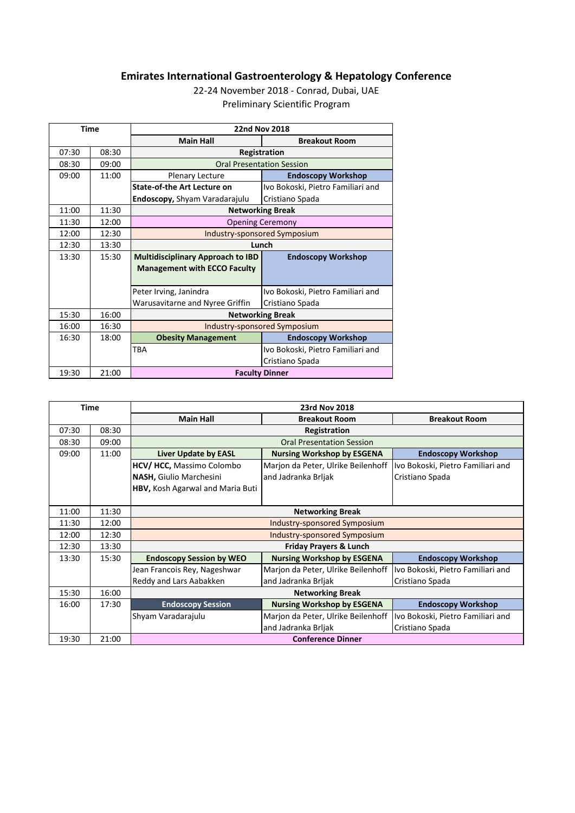## **Emirates International Gastroenterology & Hepatology Conference**

22-24 November 2018 - Conrad, Dubai, UAE Preliminary Scientific Program

| <b>Time</b> |       | <b>22nd Nov 2018</b>                     |                                   |  |
|-------------|-------|------------------------------------------|-----------------------------------|--|
|             |       | <b>Main Hall</b>                         | <b>Breakout Room</b>              |  |
| 07:30       | 08:30 | Registration                             |                                   |  |
| 08:30       | 09:00 | <b>Oral Presentation Session</b>         |                                   |  |
| 09:00       | 11:00 | <b>Plenary Lecture</b>                   | <b>Endoscopy Workshop</b>         |  |
|             |       | <b>State-of-the Art Lecture on</b>       | Ivo Bokoski, Pietro Familiari and |  |
|             |       | Endoscopy, Shyam Varadarajulu            | Cristiano Spada                   |  |
| 11:00       | 11:30 | <b>Networking Break</b>                  |                                   |  |
| 11:30       | 12:00 | <b>Opening Ceremony</b>                  |                                   |  |
| 12:00       | 12:30 | Industry-sponsored Symposium             |                                   |  |
| 12:30       | 13:30 | Lunch                                    |                                   |  |
| 13:30       | 15:30 | <b>Multidisciplinary Approach to IBD</b> | <b>Endoscopy Workshop</b>         |  |
|             |       | <b>Management with ECCO Faculty</b>      |                                   |  |
|             |       | Peter Irving, Janindra                   | Ivo Bokoski, Pietro Familiari and |  |
|             |       | Warusavitarne and Nyree Griffin          | Cristiano Spada                   |  |
| 15:30       | 16:00 | <b>Networking Break</b>                  |                                   |  |
| 16:00       | 16:30 | Industry-sponsored Symposium             |                                   |  |
| 16:30       | 18:00 | <b>Obesity Management</b>                | <b>Endoscopy Workshop</b>         |  |
|             |       | <b>TRA</b>                               | Ivo Bokoski, Pietro Familiari and |  |
|             |       |                                          | Cristiano Spada                   |  |
| 19:30       | 21:00 | <b>Faculty Dinner</b>                    |                                   |  |

| <b>Time</b> |       | 23rd Nov 2018                     |                                    |                                   |  |
|-------------|-------|-----------------------------------|------------------------------------|-----------------------------------|--|
|             |       | <b>Main Hall</b>                  | <b>Breakout Room</b>               | <b>Breakout Room</b>              |  |
| 07:30       | 08:30 | Registration                      |                                    |                                   |  |
| 08:30       | 09:00 | <b>Oral Presentation Session</b>  |                                    |                                   |  |
| 09:00       | 11:00 | <b>Liver Update by EASL</b>       | <b>Nursing Workshop by ESGENA</b>  | <b>Endoscopy Workshop</b>         |  |
|             |       | <b>HCV/ HCC, Massimo Colombo</b>  | Marjon da Peter, Ulrike Beilenhoff | Ivo Bokoski, Pietro Familiari and |  |
|             |       | <b>NASH, Giulio Marchesini</b>    | and Jadranka Brljak                | Cristiano Spada                   |  |
|             |       | HBV, Kosh Agarwal and Maria Buti  |                                    |                                   |  |
|             |       |                                   |                                    |                                   |  |
| 11:00       | 11:30 | <b>Networking Break</b>           |                                    |                                   |  |
| 11:30       | 12:00 | Industry-sponsored Symposium      |                                    |                                   |  |
| 12:00       | 12:30 | Industry-sponsored Symposium      |                                    |                                   |  |
| 12:30       | 13:30 | <b>Friday Prayers &amp; Lunch</b> |                                    |                                   |  |
| 13:30       | 15:30 | <b>Endoscopy Session by WEO</b>   | <b>Nursing Workshop by ESGENA</b>  | <b>Endoscopy Workshop</b>         |  |
|             |       | Jean Francois Rey, Nageshwar      | Marjon da Peter, Ulrike Beilenhoff | Ivo Bokoski, Pietro Familiari and |  |
|             |       | Reddy and Lars Aabakken           | and Jadranka Brljak                | Cristiano Spada                   |  |
| 15:30       | 16:00 | <b>Networking Break</b>           |                                    |                                   |  |
| 16:00       | 17:30 | <b>Endoscopy Session</b>          | <b>Nursing Workshop by ESGENA</b>  | <b>Endoscopy Workshop</b>         |  |
|             |       | Shyam Varadarajulu                | Marjon da Peter, Ulrike Beilenhoff | Ivo Bokoski, Pietro Familiari and |  |
|             |       |                                   | and Jadranka Brljak                | Cristiano Spada                   |  |
| 19:30       | 21:00 | <b>Conference Dinner</b>          |                                    |                                   |  |